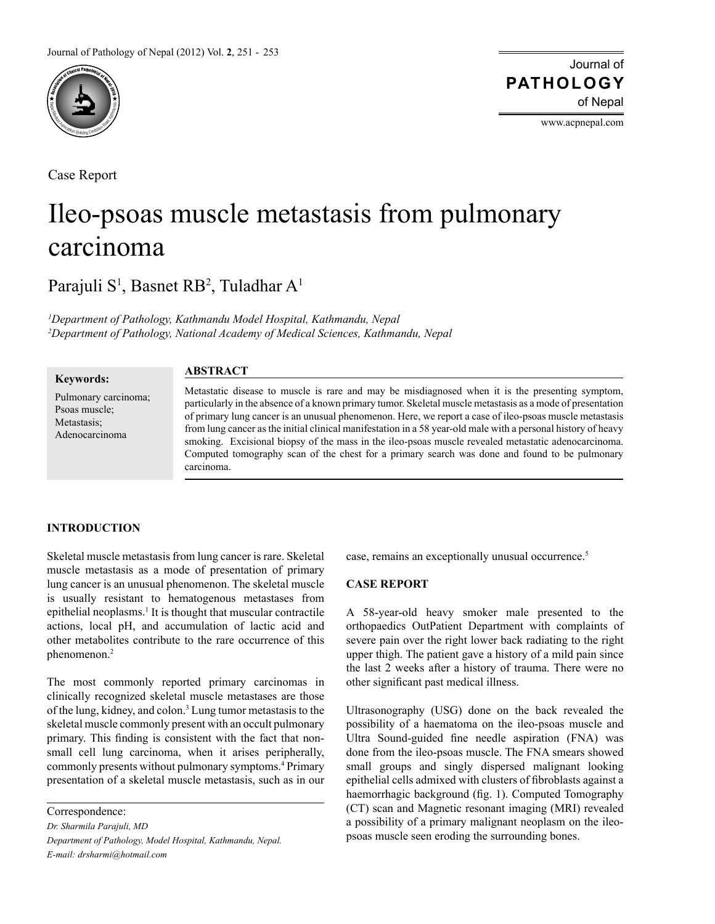

Case Report

Journal of of Nepal **PATHOLOGY**

www.acpnepal.com

# Ileo-psoas muscle metastasis from pulmonary carcinoma

Parajuli S<sup>1</sup>, Basnet RB<sup>2</sup>, Tuladhar A<sup>1</sup>

*1 Department of Pathology, Kathmandu Model Hospital, Kathmandu, Nepal 2 Department of Pathology, National Academy of Medical Sciences, Kathmandu, Nepal*

#### **Keywords:**

Pulmonary carcinoma; Psoas muscle; Metastasis; Adenocarcinoma

## **ABSTRACT**

Metastatic disease to muscle is rare and may be misdiagnosed when it is the presenting symptom, particularly in the absence of a known primary tumor. Skeletal muscle metastasis as a mode of presentation of primary lung cancer is an unusual phenomenon. Here, we report a case of ileo-psoas muscle metastasis from lung cancer as the initial clinical manifestation in a 58 year-old male with a personal history of heavy smoking. Excisional biopsy of the mass in the ileo-psoas muscle revealed metastatic adenocarcinoma. Computed tomography scan of the chest for a primary search was done and found to be pulmonary carcinoma.

## **INTRODUCTION**

Skeletal muscle metastasis from lung cancer is rare. Skeletal muscle metastasis as a mode of presentation of primary lung cancer is an unusual phenomenon. The skeletal muscle is usually resistant to hematogenous metastases from epithelial neoplasms.<sup>1</sup> It is thought that muscular contractile actions, local pH, and accumulation of lactic acid and other metabolites contribute to the rare occurrence of this phenomenon.<sup>2</sup>

The most commonly reported primary carcinomas in clinically recognized skeletal muscle metastases are those of the lung, kidney, and colon.<sup>3</sup> Lung tumor metastasis to the skeletal muscle commonly present with an occult pulmonary primary. This finding is consistent with the fact that nonsmall cell lung carcinoma, when it arises peripherally, commonly presents without pulmonary symptoms.<sup>4</sup> Primary presentation of a skeletal muscle metastasis, such as in our

Correspondence: *Dr. Sharmila Parajuli, MD Department of Pathology, Model Hospital, Kathmandu, Nepal. E-mail: drsharmi@hotmail.com*

case, remains an exceptionally unusual occurrence.<sup>5</sup>

# **CASE REPORT**

A 58-year-old heavy smoker male presented to the orthopaedics OutPatient Department with complaints of severe pain over the right lower back radiating to the right upper thigh. The patient gave a history of a mild pain since the last 2 weeks after a history of trauma. There were no other significant past medical illness.

Ultrasonography (USG) done on the back revealed the possibility of a haematoma on the ileo-psoas muscle and Ultra Sound-guided fine needle aspiration (FNA) was done from the ileo-psoas muscle. The FNA smears showed small groups and singly dispersed malignant looking epithelial cells admixed with clusters of fibroblasts against a haemorrhagic background (fig. 1). Computed Tomography (CT) scan and Magnetic resonant imaging (MRI) revealed a possibility of a primary malignant neoplasm on the ileopsoas muscle seen eroding the surrounding bones.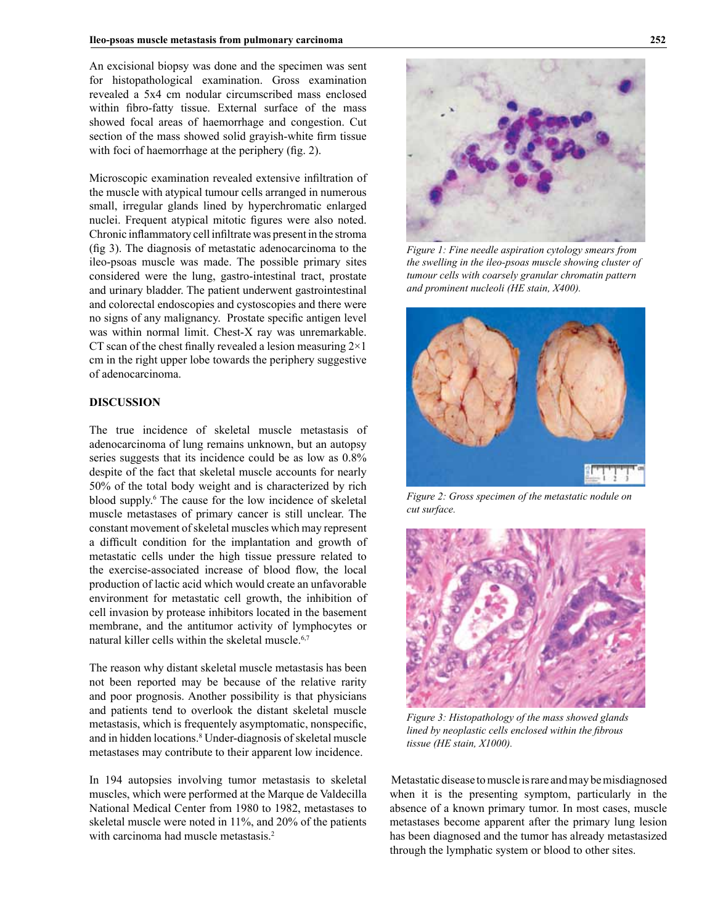An excisional biopsy was done and the specimen was sent for histopathological examination. Gross examination revealed a 5x4 cm nodular circumscribed mass enclosed within fibro-fatty tissue. External surface of the mass showed focal areas of haemorrhage and congestion. Cut section of the mass showed solid grayish-white firm tissue with foci of haemorrhage at the periphery (fig. 2).

Microscopic examination revealed extensive infiltration of the muscle with atypical tumour cells arranged in numerous small, irregular glands lined by hyperchromatic enlarged nuclei. Frequent atypical mitotic figures were also noted. Chronic inflammatory cell infiltrate was present in the stroma (fig 3). The diagnosis of metastatic adenocarcinoma to the ileo-psoas muscle was made. The possible primary sites considered were the lung, gastro-intestinal tract, prostate and urinary bladder. The patient underwent gastrointestinal and colorectal endoscopies and cystoscopies and there were no signs of any malignancy. Prostate specific antigen level was within normal limit. Chest-X ray was unremarkable. CT scan of the chest finally revealed a lesion measuring  $2 \times 1$ cm in the right upper lobe towards the periphery suggestive of adenocarcinoma.

#### **DISCUSSION**

The true incidence of skeletal muscle metastasis of adenocarcinoma of lung remains unknown, but an autopsy series suggests that its incidence could be as low as 0.8% despite of the fact that skeletal muscle accounts for nearly 50% of the total body weight and is characterized by rich blood supply.6 The cause for the low incidence of skeletal muscle metastases of primary cancer is still unclear. The constant movement of skeletal muscles which may represent a difficult condition for the implantation and growth of metastatic cells under the high tissue pressure related to the exercise-associated increase of blood flow, the local production of lactic acid which would create an unfavorable environment for metastatic cell growth, the inhibition of cell invasion by protease inhibitors located in the basement membrane, and the antitumor activity of lymphocytes or natural killer cells within the skeletal muscle.<sup>6,7</sup>

The reason why distant skeletal muscle metastasis has been not been reported may be because of the relative rarity and poor prognosis. Another possibility is that physicians and patients tend to overlook the distant skeletal muscle metastasis, which is frequentely asymptomatic, nonspecific, and in hidden locations.<sup>8</sup> Under-diagnosis of skeletal muscle metastases may contribute to their apparent low incidence.

In 194 autopsies involving tumor metastasis to skeletal muscles, which were performed at the Marque de Valdecilla National Medical Center from 1980 to 1982, metastases to skeletal muscle were noted in 11%, and 20% of the patients with carcinoma had muscle metastasis.<sup>2</sup>



*Figure 1: Fine needle aspiration cytology smears from the swelling in the ileo-psoas muscle showing cluster of tumour cells with coarsely granular chromatin pattern and prominent nucleoli (HE stain, X400).*



*Figure 2: Gross specimen of the metastatic nodule on cut surface.* 



*Figure 3: Histopathology of the mass showed glands lined by neoplastic cells enclosed within the fibrous tissue (HE stain, X1000).* 

 Metastatic disease to muscle is rare and may be misdiagnosed when it is the presenting symptom, particularly in the absence of a known primary tumor. In most cases, muscle metastases become apparent after the primary lung lesion has been diagnosed and the tumor has already metastasized through the lymphatic system or blood to other sites.